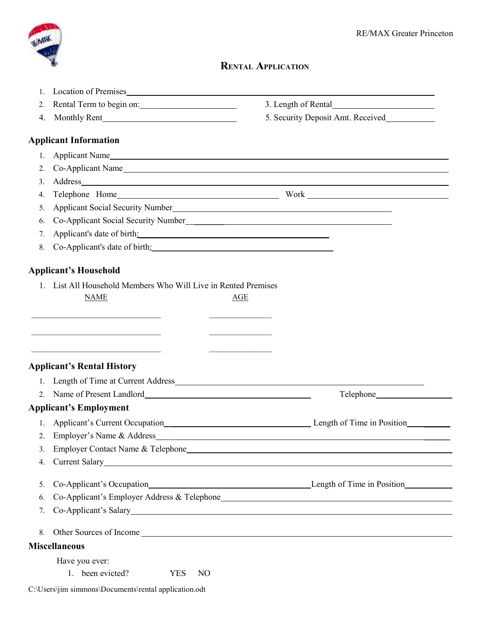

## **RENTAL APPLICATION**

| $\overline{2}$ . | Rental Term to begin on:                                                                                                                                                                                                       | 3. Length of Rental                                                                                                                                                                                                                  |
|------------------|--------------------------------------------------------------------------------------------------------------------------------------------------------------------------------------------------------------------------------|--------------------------------------------------------------------------------------------------------------------------------------------------------------------------------------------------------------------------------------|
| 4.               |                                                                                                                                                                                                                                | 5. Security Deposit Amt. Received                                                                                                                                                                                                    |
|                  | <b>Applicant Information</b>                                                                                                                                                                                                   |                                                                                                                                                                                                                                      |
| $\mathbf{1}$ .   |                                                                                                                                                                                                                                | Applicant Name                                                                                                                                                                                                                       |
| 2.               |                                                                                                                                                                                                                                | Co-Applicant Name                                                                                                                                                                                                                    |
| 3.               |                                                                                                                                                                                                                                |                                                                                                                                                                                                                                      |
| 4.               |                                                                                                                                                                                                                                |                                                                                                                                                                                                                                      |
| 5.               |                                                                                                                                                                                                                                | Applicant Social Security Number<br><u>Letter and the contract of the security Number</u>                                                                                                                                            |
| 6.               |                                                                                                                                                                                                                                |                                                                                                                                                                                                                                      |
| 7.               | Applicant's date of birth: Note of the Second Second Second Second Second Second Second Second Second Second Second Second Second Second Second Second Second Second Second Second Second Second Second Second Second Second S |                                                                                                                                                                                                                                      |
| 8.               |                                                                                                                                                                                                                                |                                                                                                                                                                                                                                      |
|                  | <b>Applicant's Household</b>                                                                                                                                                                                                   |                                                                                                                                                                                                                                      |
| $\mathbf{1}$     | List All Household Members Who Will Live in Rented Premises<br><b>NAME</b>                                                                                                                                                     | AGE                                                                                                                                                                                                                                  |
|                  | <u> 1989 - Johann John Stein, markin film yn y breninnas y breninnas yr y breninnas yr y breninnas yr y breninnas</u>                                                                                                          | <u> 1989 - Johann John Harrison, mars and de final and de final and de final and de final and de final and de final and de final and de final and de final and de final and de final and de final and de final and de final and </u> |
|                  | <u> 1989 - Johann John Stein, mars an deutscher Stein († 1958)</u><br><b>Applicant's Rental History</b>                                                                                                                        | the control of the control of the control of                                                                                                                                                                                         |
| $1_{-}$          |                                                                                                                                                                                                                                |                                                                                                                                                                                                                                      |
|                  | 2. Name of Present Landlord New York 1988.                                                                                                                                                                                     | Telephone <b>Example</b> 2014                                                                                                                                                                                                        |
|                  | <b>Applicant's Employment</b>                                                                                                                                                                                                  |                                                                                                                                                                                                                                      |
| 1.               |                                                                                                                                                                                                                                | Applicant's Current Occupation Subsetermultiple and the Length of Time in Position Subseterman and the Length of Time in Position Subseterman and the Length of Time in Position Subseterman and the Length of Time in Positio       |
| 2.               | Employer's Name & Address                                                                                                                                                                                                      |                                                                                                                                                                                                                                      |
| 3.               |                                                                                                                                                                                                                                | <u> 1989 - Jan Samuel Barbara, menyebaran sebagai pengaran pengaran pengaran pengaran pengaran pengaran pengaran</u><br>Employer Contact Name & Telephone                                                                            |
| 4.               | Current Salary<br><u>Current Salary</u>                                                                                                                                                                                        |                                                                                                                                                                                                                                      |
| 5.               |                                                                                                                                                                                                                                |                                                                                                                                                                                                                                      |
| 6.               |                                                                                                                                                                                                                                |                                                                                                                                                                                                                                      |
| 7.               |                                                                                                                                                                                                                                | Co-Applicant's Salary                                                                                                                                                                                                                |
| 8.               |                                                                                                                                                                                                                                |                                                                                                                                                                                                                                      |
|                  | <b>Miscellaneous</b>                                                                                                                                                                                                           |                                                                                                                                                                                                                                      |
|                  | Have you ever:                                                                                                                                                                                                                 |                                                                                                                                                                                                                                      |